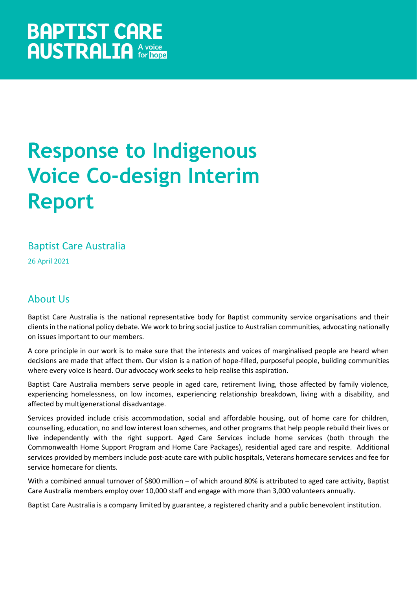# **Response to Indigenous Voice Co-design Interim Report**

## Baptist Care Australia

26 April 2021

# About Us

Baptist Care Australia is the national representative body for Baptist community service organisations and their clients in the national policy debate. We work to bring social justice to Australian communities, advocating nationally on issues important to our members.

A core principle in our work is to make sure that the interests and voices of marginalised people are heard when decisions are made that affect them. Our vision is a nation of hope-filled, purposeful people, building communities where every voice is heard. Our advocacy work seeks to help realise this aspiration.

Baptist Care Australia members serve people in aged care, retirement living, those affected by family violence, experiencing homelessness, on low incomes, experiencing relationship breakdown, living with a disability, and affected by multigenerational disadvantage.

Services provided include crisis accommodation, social and affordable housing, out of home care for children, counselling, education, no and low interest loan schemes, and other programs that help people rebuild their lives or live independently with the right support. Aged Care Services include home services (both through the Commonwealth Home Support Program and Home Care Packages), residential aged care and respite. Additional services provided by members include post-acute care with public hospitals, Veterans homecare services and fee for service homecare for clients.

With a combined annual turnover of \$800 million – of which around 80% is attributed to aged care activity, Baptist Care Australia members employ over 10,000 staff and engage with more than 3,000 volunteers annually.

Baptist Care Australia is a company limited by guarantee, a registered charity and a public benevolent institution.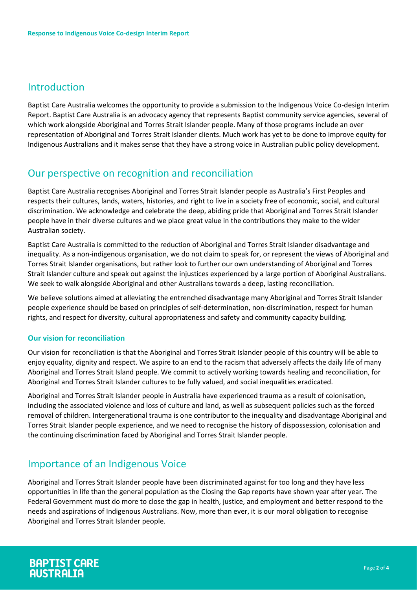### Introduction

Baptist Care Australia welcomes the opportunity to provide a submission to the Indigenous Voice Co-design Interim Report. Baptist Care Australia is an advocacy agency that represents Baptist community service agencies, several of which work alongside Aboriginal and Torres Strait Islander people. Many of those programs include an over representation of Aboriginal and Torres Strait Islander clients. Much work has yet to be done to improve equity for Indigenous Australians and it makes sense that they have a strong voice in Australian public policy development.

#### Our perspective on recognition and reconciliation

Baptist Care Australia recognises Aboriginal and Torres Strait Islander people as Australia's First Peoples and respects their cultures, lands, waters, histories, and right to live in a society free of economic, social, and cultural discrimination. We acknowledge and celebrate the deep, abiding pride that Aboriginal and Torres Strait Islander people have in their diverse cultures and we place great value in the contributions they make to the wider Australian society.

Baptist Care Australia is committed to the reduction of Aboriginal and Torres Strait Islander disadvantage and inequality. As a non-indigenous organisation, we do not claim to speak for, or represent the views of Aboriginal and Torres Strait Islander organisations, but rather look to further our own understanding of Aboriginal and Torres Strait Islander culture and speak out against the injustices experienced by a large portion of Aboriginal Australians. We seek to walk alongside Aboriginal and other Australians towards a deep, lasting reconciliation.

We believe solutions aimed at alleviating the entrenched disadvantage many Aboriginal and Torres Strait Islander people experience should be based on principles of self-determination, non-discrimination, respect for human rights, and respect for diversity, cultural appropriateness and safety and community capacity building.

#### **Our vision for reconciliation**

Our vision for reconciliation is that the Aboriginal and Torres Strait Islander people of this country will be able to enjoy equality, dignity and respect. We aspire to an end to the racism that adversely affects the daily life of many Aboriginal and Torres Strait Island people. We commit to actively working towards healing and reconciliation, for Aboriginal and Torres Strait Islander cultures to be fully valued, and social inequalities eradicated.

Aboriginal and Torres Strait Islander people in Australia have experienced trauma as a result of colonisation, including the associated violence and loss of culture and land, as well as subsequent policies such as the forced removal of children. Intergenerational trauma is one contributor to the inequality and disadvantage Aboriginal and Torres Strait Islander people experience, and we need to recognise the history of dispossession, colonisation and the continuing discrimination faced by Aboriginal and Torres Strait Islander people.

#### Importance of an Indigenous Voice

Aboriginal and Torres Strait Islander people have been discriminated against for too long and they have less opportunities in life than the general population as the Closing the Gap reports have shown year after year. The Federal Government must do more to close the gap in health, justice, and employment and better respond to the needs and aspirations of Indigenous Australians. Now, more than ever, it is our moral obligation to recognise Aboriginal and Torres Strait Islander people.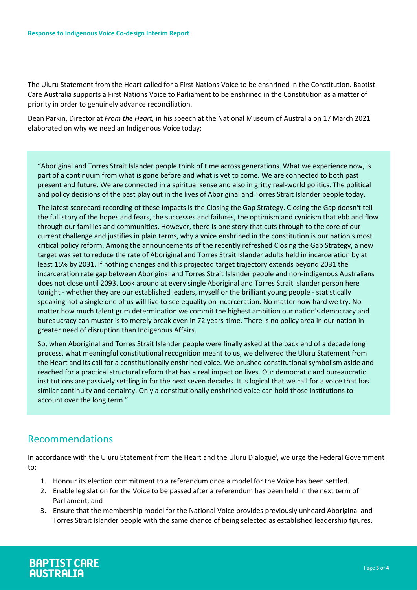The Uluru Statement from the Heart called for a First Nations Voice to be enshrined in the Constitution. Baptist Care Australia supports a First Nations Voice to Parliament to be enshrined in the Constitution as a matter of priority in order to genuinely advance reconciliation.

Dean Parkin, Director at *From the Heart,* in his speech at the National Museum of Australia on 17 March 2021 elaborated on why we need an Indigenous Voice today:

"Aboriginal and Torres Strait Islander people think of time across generations. What we experience now, is part of a continuum from what is gone before and what is yet to come. We are connected to both past present and future. We are connected in a spiritual sense and also in gritty real-world politics. The political and policy decisions of the past play out in the lives of Aboriginal and Torres Strait Islander people today.

The latest scorecard recording of these impacts is the Closing the Gap Strategy. Closing the Gap doesn't tell the full story of the hopes and fears, the successes and failures, the optimism and cynicism that ebb and flow through our families and communities. However, there is one story that cuts through to the core of our current challenge and justifies in plain terms, why a voice enshrined in the constitution is our nation's most critical policy reform. Among the announcements of the recently refreshed Closing the Gap Strategy, a new target was set to reduce the rate of Aboriginal and Torres Strait Islander adults held in incarceration by at least 15% by 2031. If nothing changes and this projected target trajectory extends beyond 2031 the incarceration rate gap between Aboriginal and Torres Strait Islander people and non-indigenous Australians does not close until 2093. Look around at every single Aboriginal and Torres Strait Islander person here tonight - whether they are our established leaders, myself or the brilliant young people - statistically speaking not a single one of us will live to see equality on incarceration. No matter how hard we try. No matter how much talent grim determination we commit the highest ambition our nation's democracy and bureaucracy can muster is to merely break even in 72 years-time. There is no policy area in our nation in greater need of disruption than Indigenous Affairs.

So, when Aboriginal and Torres Strait Islander people were finally asked at the back end of a decade long process, what meaningful constitutional recognition meant to us, we delivered the Uluru Statement from the Heart and its call for a constitutionally enshrined voice. We brushed constitutional symbolism aside and reached for a practical structural reform that has a real impact on lives. Our democratic and bureaucratic institutions are passively settling in for the next seven decades. It is logical that we call for a voice that has similar continuity and certainty. Only a constitutionally enshrined voice can hold those institutions to account over the long term."

#### Recommendations

In accordance with the Uluru Statement from the Heart and the Uluru Dialogue<sup>i</sup>, we urge the Federal Government to:

- 1. Honour its election commitment to a referendum once a model for the Voice has been settled.
- 2. Enable legislation for the Voice to be passed after a referendum has been held in the next term of Parliament; and
- 3. Ensure that the membership model for the National Voice provides previously unheard Aboriginal and Torres Strait Islander people with the same chance of being selected as established leadership figures.